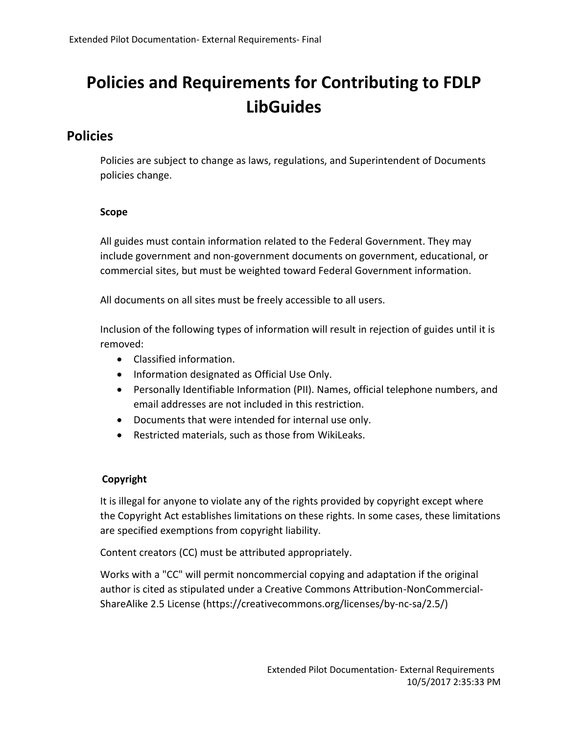# **Policies and Requirements for Contributing to FDLP LibGuides**

## **Policies**

Policies are subject to change as laws, regulations, and Superintendent of Documents policies change.

#### **Scope**

All guides must contain information related to the Federal Government. They may include government and non-government documents on government, educational, or commercial sites, but must be weighted toward Federal Government information.

All documents on all sites must be freely accessible to all users.

Inclusion of the following types of information will result in rejection of guides until it is removed:

- Classified information.
- Information designated as Official Use Only.
- Personally Identifiable Information (PII). Names, official telephone numbers, and email addresses are not included in this restriction.
- Documents that were intended for internal use only.
- Restricted materials, such as those from WikiLeaks.

### **Copyright**

It is illegal for anyone to violate any of the rights provided by copyright except where the Copyright Act establishes limitations on these rights. In some cases, these limitations are specified exemptions from copyright liability.

Content creators (CC) must be attributed appropriately.

Works with a "CC" will permit noncommercial copying and adaptation if the original author is cited as stipulated under a Creative Commons Attribution-NonCommercial-ShareAlike 2.5 License (https://creativecommons.org/licenses/by-nc-sa/2.5/)